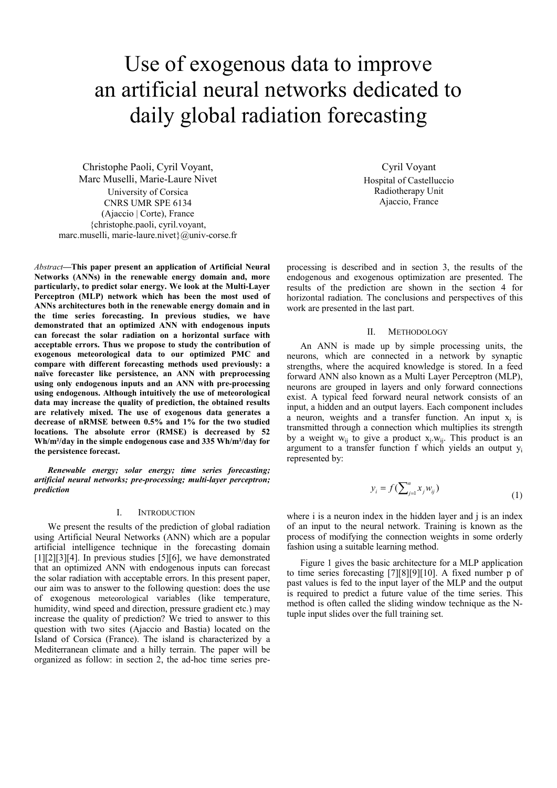# Use of exogenous data to improve an artificial neural networks dedicated to daily global radiation forecasting

Christophe Paoli, Cyril Voyant, Marc Muselli, Marie-Laure Nivet University of Corsica CNRS UMR SPE 6134 (Ajaccio | Corte), France {christophe.paoli, cyril.voyant, marc.muselli, marie-laure.nivet}@univ-corse.fr

*Abstract***—This paper present an application of Artificial Neural Networks (ANNs) in the renewable energy domain and, more particularly, to predict solar energy. We look at the Multi-Layer Perceptron (MLP) network which has been the most used of ANNs architectures both in the renewable energy domain and in the time series forecasting. In previous studies, we have demonstrated that an optimized ANN with endogenous inputs can forecast the solar radiation on a horizontal surface with acceptable errors. Thus we propose to study the contribution of exogenous meteorological data to our optimized PMC and compare with different forecasting methods used previously: a naïve forecaster like persistence, an ANN with preprocessing using only endogenous inputs and an ANN with pre-processing using endogenous. Although intuitively the use of meteorological data may increase the quality of prediction, the obtained results are relatively mixed. The use of exogenous data generates a decrease of nRMSE between 0.5% and 1% for the two studied locations. The absolute error (RMSE) is decreased by 52 Wh/m²/day in the simple endogenous case and 335 Wh/m²/day for the persistence forecast.** 

*Renewable energy; solar energy; time series forecasting; artificial neural networks; pre-processing; multi-layer perceptron; prediction* 

## I. INTRODUCTION

We present the results of the prediction of global radiation using Artificial Neural Networks (ANN) which are a popular artificial intelligence technique in the forecasting domain  $[1][2][3][4]$ . In previous studies  $[5][6]$ , we have demonstrated that an optimized ANN with endogenous inputs can forecast the solar radiation with acceptable errors. In this present paper, our aim was to answer to the following question: does the use of exogenous meteorological variables (like temperature, humidity, wind speed and direction, pressure gradient etc.) may increase the quality of prediction? We tried to answer to this question with two sites (Ajaccio and Bastia) located on the Island of Corsica (France). The island is characterized by a Mediterranean climate and a hilly terrain. The paper will be organized as follow: in section 2, the ad-hoc time series pre-

Cyril Voyant Hospital of Castelluccio Radiotherapy Unit Ajaccio, France

processing is described and in section 3, the results of the endogenous and exogenous optimization are presented. The results of the prediction are shown in the section 4 for horizontal radiation. The conclusions and perspectives of this work are presented in the last part.

## II. METHODOLOGY

An ANN is made up by simple processing units, the neurons, which are connected in a network by synaptic strengths, where the acquired knowledge is stored. In a feed forward ANN also known as a Multi Layer Perceptron (MLP), neurons are grouped in layers and only forward connections exist. A typical feed forward neural network consists of an input, a hidden and an output layers. Each component includes a neuron, weights and a transfer function. An input  $x_i$  is transmitted through a connection which multiplies its strength by a weight  $w_{ii}$  to give a product  $x_i w_{ii}$ . This product is an argument to a transfer function f which yields an output yi represented by:

$$
y_i = f(\sum_{j=1}^n x_j w_{ij})
$$
\n<sup>(1)</sup>

where i is a neuron index in the hidden layer and j is an index of an input to the neural network. Training is known as the process of modifying the connection weights in some orderly fashion using a suitable learning method.

Figure 1 gives the basic architecture for a MLP application to time series forecasting [7][8][9][10]. A fixed number p of past values is fed to the input layer of the MLP and the output is required to predict a future value of the time series. This method is often called the sliding window technique as the Ntuple input slides over the full training set.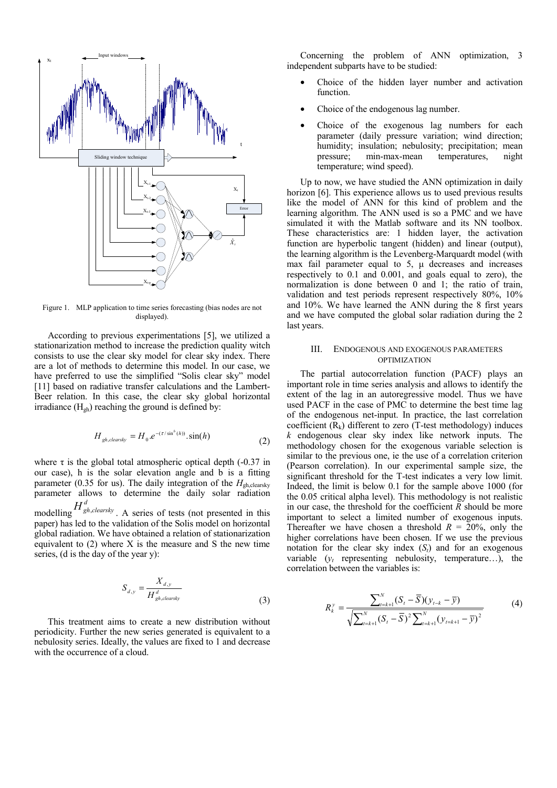

Figure 1. MLP application to time series forecasting (bias nodes are not displayed).

According to previous experimentations [5], we utilized a stationarization method to increase the prediction quality witch consists to use the clear sky model for clear sky index. There are a lot of methods to determine this model. In our case, we have preferred to use the simplified "Solis clear sky" model [11] based on radiative transfer calculations and the Lambert-Beer relation. In this case, the clear sky global horizontal irradiance  $(H_{\rho h})$  reaching the ground is defined by:

$$
H_{gh,clearsky} = H_0.e^{-(\tau/\sin^b(h))} \cdot \sin(h)
$$
 (2)

where  $\tau$  is the global total atmospheric optical depth (-0.37 in our case), h is the solar elevation angle and b is a fitting parameter (0.35 for us). The daily integration of the *H*<sub>gh,clearsky</sub> parameter allows to determine the daily solar radiation

modelling  $H_{gh,clearsky}^d$ . A series of tests (not presented in this paper) has led to the validation of the Solis model on horizontal global radiation. We have obtained a relation of stationarization equivalent to (2) where X is the measure and S the new time series, (d is the day of the year y):

$$
S_{d,y} = \frac{X_{d,y}}{H_{gh,clear\}}^{d}
$$
\n(3)

This treatment aims to create a new distribution without periodicity. Further the new series generated is equivalent to a nebulosity series. Ideally, the values are fixed to 1 and decrease with the occurrence of a cloud.

Concerning the problem of ANN optimization, 3 independent subparts have to be studied:

- Choice of the hidden layer number and activation function.
- Choice of the endogenous lag number.
- Choice of the exogenous lag numbers for each parameter (daily pressure variation; wind direction; humidity; insulation; nebulosity; precipitation; mean pressure; min-max-mean temperatures, night temperature; wind speed).

Up to now, we have studied the ANN optimization in daily horizon [6]. This experience allows us to used previous results like the model of ANN for this kind of problem and the learning algorithm. The ANN used is so a PMC and we have simulated it with the Matlab software and its NN toolbox. These characteristics are: 1 hidden layer, the activation function are hyperbolic tangent (hidden) and linear (output), the learning algorithm is the Levenberg-Marquardt model (with max fail parameter equal to 5, μ decreases and increases respectively to 0.1 and 0.001, and goals equal to zero), the normalization is done between 0 and 1; the ratio of train, validation and test periods represent respectively 80%, 10% and 10%. We have learned the ANN during the 8 first years and we have computed the global solar radiation during the 2 last years.

## III. ENDOGENOUS AND EXOGENOUS PARAMETERS OPTIMIZATION

The partial autocorrelation function (PACF) plays an important role in time series analysis and allows to identify the extent of the lag in an autoregressive model. Thus we have used PACF in the case of PMC to determine the best time lag of the endogenous net-input. In practice, the last correlation coefficient  $(R_k)$  different to zero (T-test methodology) induces *k* endogenous clear sky index like network inputs. The methodology chosen for the exogenous variable selection is similar to the previous one, ie the use of a correlation criterion (Pearson correlation). In our experimental sample size, the significant threshold for the T-test indicates a very low limit. Indeed, the limit is below 0.1 for the sample above 1000 (for the 0.05 critical alpha level). This methodology is not realistic in our case, the threshold for the coefficient  $\overline{R}$  should be more important to select a limited number of exogenous inputs. Thereafter we have chosen a threshold  $R = 20\%$ , only the higher correlations have been chosen. If we use the previous notation for the clear sky index  $(S_t)$  and for an exogenous variable  $(y_t$  representing nebulosity, temperature...), the correlation between the variables is:

$$
R_k^{\gamma} = \frac{\sum_{t=k+1}^{N} (S_t - \overline{S})(y_{t-k} - \overline{y})}{\sqrt{\sum_{t=k+1}^{N} (S_t - \overline{S})^2 \sum_{t=k+1}^{N} (y_{t=k+1} - \overline{y})^2}}
$$
(4)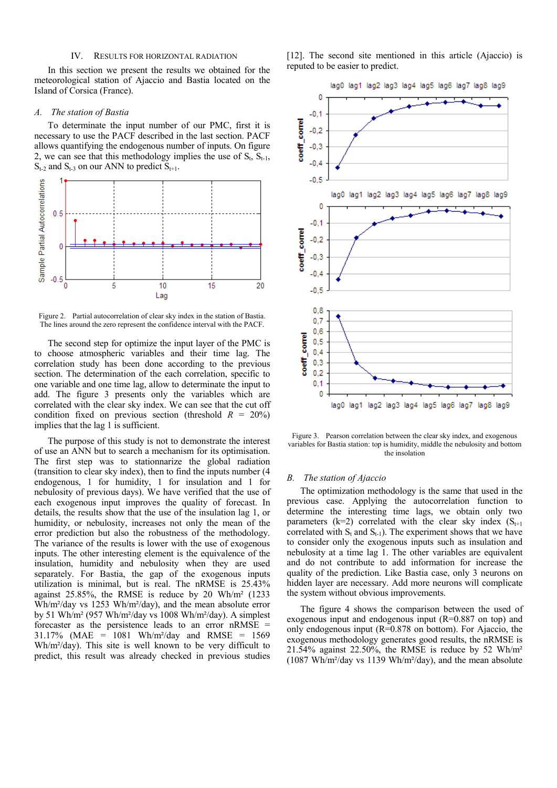## IV. RESULTS FOR HORIZONTAL RADIATION

In this section we present the results we obtained for the meteorological station of Ajaccio and Bastia located on the Island of Corsica (France).

### *A. The station of Bastia*

To determinate the input number of our PMC, first it is necessary to use the PACF described in the last section. PACF allows quantifying the endogenous number of inputs. On figure 2, we can see that this methodology implies the use of  $S_t$ ,  $S_{t-1}$ ,  $S_{t-2}$  and  $S_{t-3}$  on our ANN to predict  $S_{t+1}$ .



Figure 2. Partial autocorrelation of clear sky index in the station of Bastia. The lines around the zero represent the confidence interval with the PACF.

The second step for optimize the input layer of the PMC is to choose atmospheric variables and their time lag. The correlation study has been done according to the previous section. The determination of the each correlation, specific to one variable and one time lag, allow to determinate the input to add. The figure 3 presents only the variables which are correlated with the clear sky index. We can see that the cut off condition fixed on previous section (threshold  $R = 20\%$ ) implies that the lag 1 is sufficient.

The purpose of this study is not to demonstrate the interest of use an ANN but to search a mechanism for its optimisation. The first step was to stationnarize the global radiation (transition to clear sky index), then to find the inputs number (4 endogenous, 1 for humidity, 1 for insulation and 1 for nebulosity of previous days). We have verified that the use of each exogenous input improves the quality of forecast. In details, the results show that the use of the insulation lag 1, or humidity, or nebulosity, increases not only the mean of the error prediction but also the robustness of the methodology. The variance of the results is lower with the use of exogenous inputs. The other interesting element is the equivalence of the insulation, humidity and nebulosity when they are used separately. For Bastia, the gap of the exogenous inputs utilization is minimal, but is real. The nRMSE is 25.43% against 25.85%, the RMSE is reduce by 20 Wh/m² (1233 Wh/m²/day vs 1253 Wh/m²/day), and the mean absolute error by 51 Wh/m² (957 Wh/m²/day vs 1008 Wh/m²/day). A simplest forecaster as the persistence leads to an error nRMSE = 31.17% (MAE = 1081 Wh/m²/day and RMSE = 1569 Wh/m²/day). This site is well known to be very difficult to predict, this result was already checked in previous studies

[12]. The second site mentioned in this article (Ajaccio) is reputed to be easier to predict.



Figure 3. Pearson correlation between the clear sky index, and exogenous variables for Bastia station: top is humidity, middle the nebulosity and bottom the insolation

## *B. The station of Ajaccio*

The optimization methodology is the same that used in the previous case. Applying the autocorrelation function to determine the interesting time lags, we obtain only two parameters (k=2) correlated with the clear sky index  $(S_{t+1})$ correlated with  $S_t$  and  $S_{t-1}$ ). The experiment shows that we have to consider only the exogenous inputs such as insulation and nebulosity at a time lag 1. The other variables are equivalent and do not contribute to add information for increase the quality of the prediction. Like Bastia case, only 3 neurons on hidden layer are necessary. Add more neurons will complicate the system without obvious improvements.

The figure 4 shows the comparison between the used of exogenous input and endogenous input (R=0.887 on top) and only endogenous input (R=0.878 on bottom). For Ajaccio, the exogenous methodology generates good results, the nRMSE is 21.54% against 22.50%, the RMSE is reduce by 52 Wh/m² (1087 Wh/m²/day vs 1139 Wh/m²/day), and the mean absolute